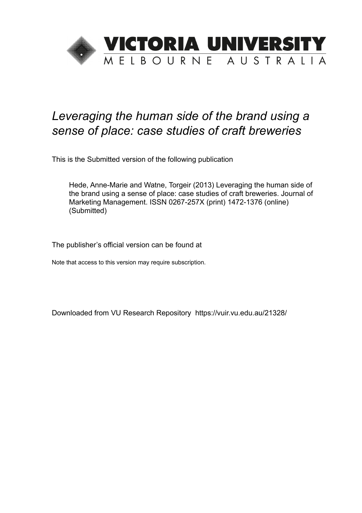

# *Leveraging the human side of the brand using a sense of place: case studies of craft breweries*

This is the Submitted version of the following publication

Hede, Anne-Marie and Watne, Torgeir (2013) Leveraging the human side of the brand using a sense of place: case studies of craft breweries. Journal of Marketing Management. ISSN 0267-257X (print) 1472-1376 (online) (Submitted)

The publisher's official version can be found at

Note that access to this version may require subscription.

Downloaded from VU Research Repository https://vuir.vu.edu.au/21328/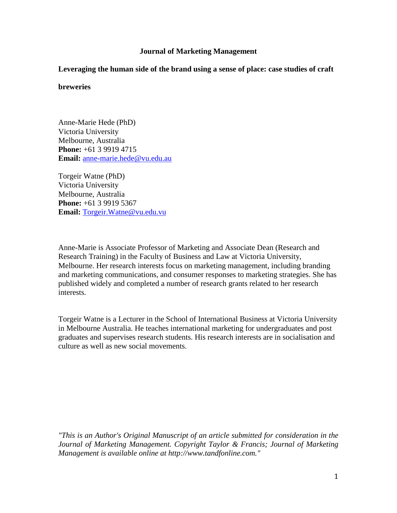# **Journal of Marketing Management**

**Leveraging the human side of the brand using a sense of place: case studies of craft** 

# **breweries**

Anne-Marie Hede (PhD) Victoria University Melbourne, Australia **Phone:** +61 3 9919 4715 **Email:** [anne-marie.hede@vu.edu.au](mailto:anne-marie.hede@vu.edu.au) 

Torgeir Watne (PhD) Victoria University Melbourne, Australia **Phone:** +61 3 9919 5367 **Email:** [Torgeir.Watne@vu.edu.vu](mailto:Torgeir.Watne@vu.edu.vu)

Anne-Marie is Associate Professor of Marketing and Associate Dean (Research and Research Training) in the Faculty of Business and Law at Victoria University, Melbourne. Her research interests focus on marketing management, including branding and marketing communications, and consumer responses to marketing strategies. She has published widely and completed a number of research grants related to her research interests.

Torgeir Watne is a Lecturer in the School of International Business at Victoria University in Melbourne Australia. He teaches international marketing for undergraduates and post graduates and supervises research students. His research interests are in socialisation and culture as well as new social movements.

<span id="page-1-0"></span>*"This is an Author's Original Manuscript of an article submitted for consideration in the Journal of Marketing Management. Copyright Taylor & Francis; Journal of Marketing Management is available online at [http://www.tandfonline.com.](http://www.tandfonline.com/)"*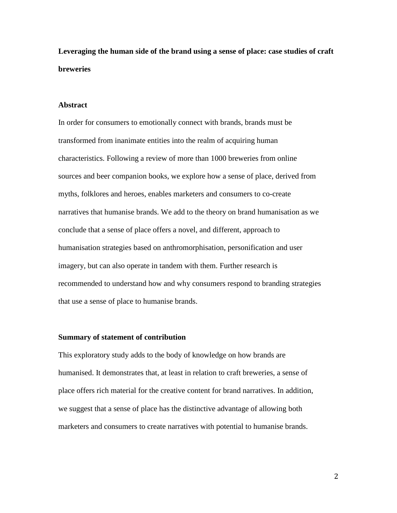**Leveraging the human side of the brand using a sense of place: case studies of craft breweries**

## **Abstract**

In order for consumers to emotionally connect with brands, brands must be transformed from inanimate entities into the realm of acquiring human characteristics. Following a review of more than 1000 breweries from online sources and beer companion books, we explore how a sense of place, derived from myths, folklores and heroes, enables marketers and consumers to co-create narratives that humanise brands. We add to the theory on brand humanisation as we conclude that a sense of place offers a novel, and different, approach to humanisation strategies based on anthromorphisation, personification and user imagery, but can also operate in tandem with them. Further research is recommended to understand how and why consumers respond to branding strategies that use a sense of place to humanise brands.

# **Summary of statement of contribution**

This exploratory study adds to the body of knowledge on how brands are humanised. It demonstrates that, at least in relation to craft breweries, a sense of place offers rich material for the creative content for brand narratives. In addition, we suggest that a sense of place has the distinctive advantage of allowing both marketers and consumers to create narratives with potential to humanise brands.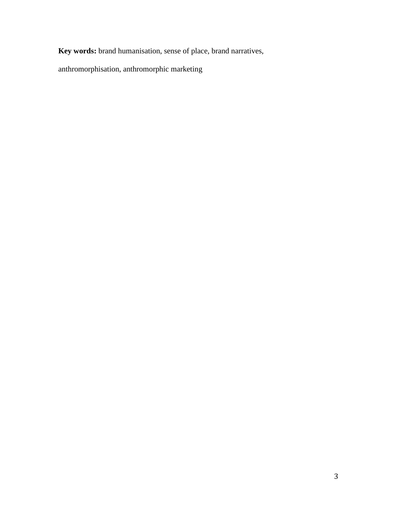**Key words:** brand humanisation, sense of place, brand narratives,

anthromorphisation, anthromorphic marketing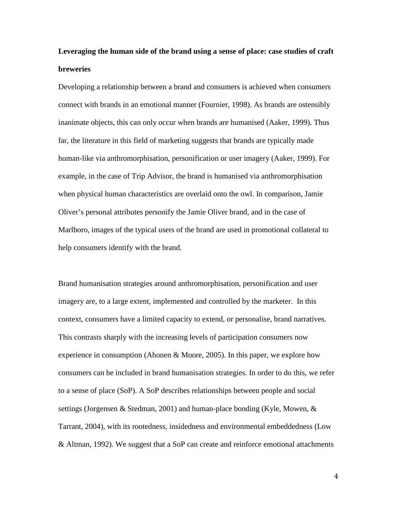# **Leveraging the human side of the brand using a sense of place: case studies of craft breweries**

Developing a relationship between a brand and consumers is achieved when consumers connect with brands in an emotional manner [\(Fournier, 1998\)](#page-33-0). As brands are ostensibly inanimate objects, this can only occur when brands are humanised [\(Aaker, 1999\)](#page-32-0). Thus far, the literature in this field of marketing suggests that brands are typically made human-like via anthromorphisation, personification or user imagery (Aaker, 1999). For example, in the case of Trip Advisor, the brand is humanised via anthromorphisation when physical human characteristics are overlaid onto the owl. In comparison, Jamie Oliver's personal attributes personify the Jamie Oliver brand, and in the case of Marlboro, images of the typical users of the brand are used in promotional collateral to help consumers identify with the brand.

Brand humanisation strategies around anthromorphisation, personification and user imagery are, to a large extent, implemented and controlled by the marketer. In this context, consumers have a limited capacity to extend, or personalise, brand narratives. This contrasts sharply with the increasing levels of participation consumers now experience in consumption [\(Ahonen & Moore, 2005\)](#page-32-1). In this paper, we explore how consumers can be included in brand humanisation strategies. In order to do this, we refer to a sense of place (SoP). A SoP describes relationships between people and social settings [\(Jorgensen & Stedman, 2001\)](#page-33-1) and human-place bonding [\(Kyle, Mowen, &](#page-34-0)  [Tarrant, 2004\)](#page-34-0), with its rootedness, insidedness and environmental embeddedness [\(Low](#page-34-1)  [& Altman, 1992\)](#page-34-1). We suggest that a SoP can create and reinforce emotional attachments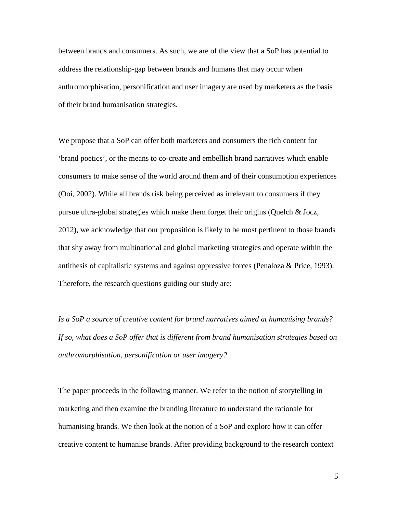between brands and consumers. As such, we are of the view that a SoP has potential to address the relationship-gap between brands and humans that may occur when anthromorphisation, personification and user imagery are used by marketers as the basis of their brand humanisation strategies.

We propose that a SoP can offer both marketers and consumers the rich content for 'brand poetics', or the means to co-create and embellish brand narratives which enable consumers to make sense of the world around them and of their consumption experiences (Ooi, [2002\)](#page-34-2). While all brands risk being perceived as irrelevant to consumers if they pursue ultra-global strategies which make them forget their origins [\(Quelch & Jocz,](#page-34-3)  [2012\)](#page-34-3), we acknowledge that our proposition is likely to be most pertinent to those brands that shy away from multinational and global marketing strategies and operate within the antithesis of capitalistic systems and against oppressive forces [\(Penaloza & Price, 1993\)](#page-34-4). Therefore, the research questions guiding our study are:

*Is a SoP a source of creative content for brand narratives aimed at humanising brands? If so, what does a SoP offer that is different from brand humanisation strategies based on anthromorphisation, personification or user imagery?*

The paper proceeds in the following manner. We refer to the notion of storytelling in marketing and then examine the branding literature to understand the rationale for humanising brands. We then look at the notion of a SoP and explore how it can offer creative content to humanise brands. After providing background to the research context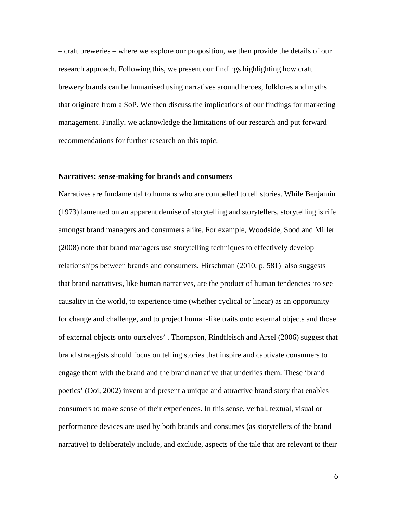– craft breweries – where we explore our proposition, we then provide the details of our research approach. Following this, we present our findings highlighting how craft brewery brands can be humanised using narratives around heroes, folklores and myths that originate from a SoP. We then discuss the implications of our findings for marketing management. Finally, we acknowledge the limitations of our research and put forward recommendations for further research on this topic.

#### **Narratives: sense-making for brands and consumers**

Narratives are fundamental to humans who are compelled to tell stories. While Benjamin [\(1973\)](#page-32-2) lamented on an apparent demise of storytelling and storytellers, storytelling is rife amongst brand managers and consumers alike. For example, Woodside, Sood and Miller [\(2008\)](#page-35-0) note that brand managers use storytelling techniques to effectively develop relationships between brands and consumers. Hirschman [\(2010, p. 581\)](#page-33-2) also suggests that brand narratives, like human narratives, are the product of human tendencies 'to see causality in the world, to experience time (whether cyclical or linear) as an opportunity for change and challenge, and to project human-like traits onto external objects and those of external objects onto ourselves' . [Thompson, Rindfleisch and](#page-35-1) Arsel (2006) suggest that brand strategists should focus on telling stories that inspire and captivate consumers to engage them with the brand and the brand narrative that underlies them. These 'brand poetics' [\(Ooi, 2002\)](#page-34-2) invent and present a unique and attractive brand story that enables consumers to make sense of their experiences. In this sense, verbal, textual, visual or performance devices are used by both brands and consumes (as storytellers of the brand narrative) to deliberately include, and exclude, aspects of the tale that are relevant to their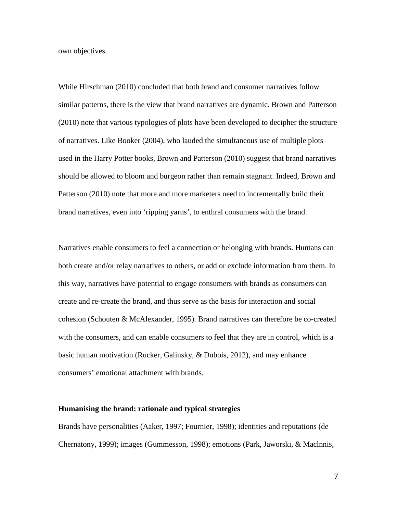own objectives.

While Hirschman [\(2010\)](#page-33-2) concluded that both brand and consumer narratives follow similar patterns, there is the view that brand narratives are dynamic. Brown and Patterson [\(2010\)](#page-32-3) note that various typologies of plots have been developed to decipher the structure of narratives. Like Booker [\(2004\)](#page-32-4), who lauded the simultaneous use of multiple plots used in the Harry Potter books, Brown and Patterson (2010) suggest that brand narratives should be allowed to bloom and burgeon rather than remain stagnant. Indeed, Brown and Patterson (2010) note that more and more marketers need to incrementally build their brand narratives, even into 'ripping yarns', to enthral consumers with the brand.

Narratives enable consumers to feel a connection or belonging with brands. Humans can both create and/or relay narratives to others, or add or exclude information from them. In this way, narratives have potential to engage consumers with brands as consumers can create and re-create the brand, and thus serve as the basis for interaction and social cohesion [\(Schouten & McAlexander, 1995\)](#page-35-2). Brand narratives can therefore be co-created with the consumers, and can enable consumers to feel that they are in control, which is a basic human motivation [\(Rucker, Galinsky, & Dubois, 2012\)](#page-34-5), and may enhance consumers' emotional attachment with brands.

#### **Humanising the brand: rationale and typical strategies**

Brands have personalities [\(Aaker, 1997;](#page-32-5) [Fournier, 1998\)](#page-33-0); identities and reputations [\(de](#page-32-6)  [Chernatony, 1999\)](#page-32-6); images [\(Gummesson, 1998\)](#page-33-3); emotions [\(Park, Jaworski, & Maclnnis,](#page-34-6)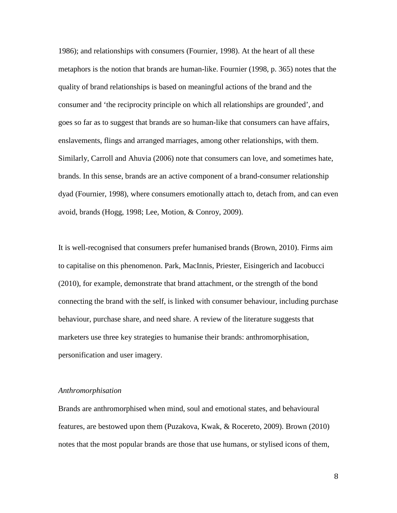[1986\)](#page-34-6); and relationships with consumers [\(Fournier, 1998\)](#page-33-0). At the heart of all these metaphors is the notion that brands are human-like. Fournier (1998, p. 365) notes that the quality of brand relationships is based on meaningful actions of the brand and the consumer and 'the reciprocity principle on which all relationships are grounded', and goes so far as to suggest that brands are so human-like that consumers can have affairs, enslavements, flings and arranged marriages, among other relationships, with them. Similarly, Carroll and Ahuvia [\(2006\)](#page-32-7) note that consumers can love, and sometimes hate, brands. In this sense, brands are an active component of a brand-consumer relationship dyad (Fournier, 1998), where consumers emotionally attach to, detach from, and can even avoid, brands [\(Hogg, 1998;](#page-33-4) [Lee, Motion, & Conroy, 2009\)](#page-34-7).

It is well-recognised that consumers prefer humanised brands (Brown, 2010). Firms aim to capitalise on this phenomenon. Park, MacInnis, Priester, Eisingerich and Iacobucci [\(2010\)](#page-34-8), for example, demonstrate that brand attachment, or the strength of the bond connecting the brand with the self, is linked with consumer behaviour, including purchase behaviour, purchase share, and need share. A review of the literature suggests that marketers use three key strategies to humanise their brands: anthromorphisation, personification and user imagery.

#### *Anthromorphisation*

Brands are anthromorphised when mind, soul and emotional states, and behavioural features, are bestowed upon them [\(Puzakova, Kwak, & Rocereto, 2009\)](#page-34-9). Brown [\(2010\)](#page-32-8) notes that the most popular brands are those that use humans, or stylised icons of them,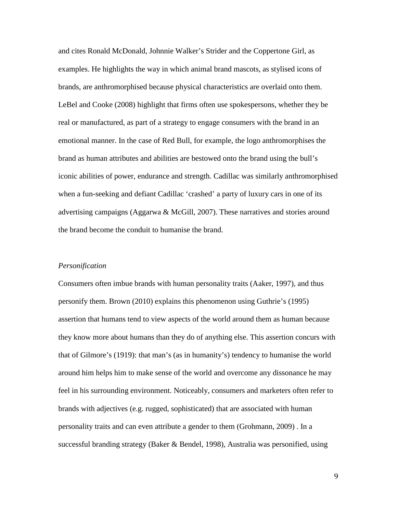and cites Ronald McDonald, Johnnie Walker's Strider and the Coppertone Girl, as examples. He highlights the way in which animal brand mascots, as stylised icons of brands, are anthromorphised because physical characteristics are overlaid onto them. LeBel and Cooke [\(2008\)](#page-34-10) highlight that firms often use spokespersons, whether they be real or manufactured, as part of a strategy to engage consumers with the brand in an emotional manner. In the case of Red Bull, for example, the logo anthromorphises the brand as human attributes and abilities are bestowed onto the brand using the bull's iconic abilities of power, endurance and strength. Cadillac was similarly anthromorphised when a fun-seeking and defiant Cadillac 'crashed' a party of luxury cars in one of its advertising campaigns [\(Aggarwa & McGill, 2007\)](#page-32-9). These narratives and stories around the brand become the conduit to humanise the brand.

#### *Personification*

Consumers often imbue brands with human personality traits [\(Aaker, 1997\)](#page-32-5), and thus personify them. Brown (2010) explains this phenomenon using Guthrie's [\(1995\)](#page-33-5) assertion that humans tend to view aspects of the world around them as human because they know more about humans than they do of anything else. This assertion concurs with that of Gilmore's [\(1919\)](#page-33-6): that man's (as in humanity's) tendency to humanise the world around him helps him to make sense of the world and overcome any dissonance he may feel in his surrounding environment. Noticeably, consumers and marketers often refer to brands with adjectives (e.g. rugged, sophisticated) that are associated with human personality traits and can even attribute a gender to them [\(Grohmann, 2009\)](#page-33-7) . In a successful branding strategy [\(Baker & Bendel, 1998\)](#page-32-10), Australia was personified, using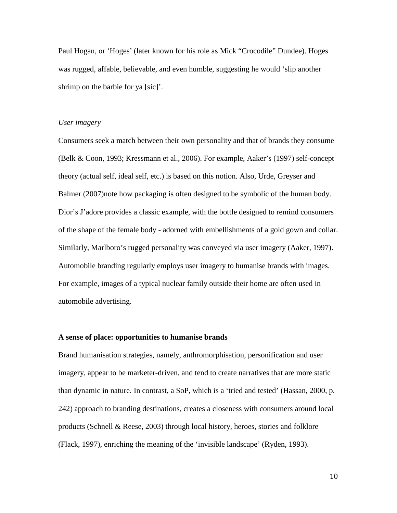Paul Hogan, or 'Hoges' (later known for his role as Mick "Crocodile" Dundee). Hoges was rugged, affable, believable, and even humble, suggesting he would 'slip another shrimp on the barbie for ya [sic]'.

#### *User imagery*

Consumers seek a match between their own personality and that of brands they consume [\(Belk & Coon, 1993;](#page-32-11) [Kressmann et al., 2006\)](#page-34-11). For example, Aaker's (1997) self-concept theory (actual self, ideal self, etc.) is based on this notion. Also, Urde, Greyser and Balmer [\(2007\)](#page-35-3)note how packaging is often designed to be symbolic of the human body. Dior's J'adore provides a classic example, with the bottle designed to remind consumers of the shape of the female body - adorned with embellishments of a gold gown and collar. Similarly, Marlboro's rugged personality was conveyed via user imagery (Aaker, 1997). Automobile branding regularly employs user imagery to humanise brands with images. For example, images of a typical nuclear family outside their home are often used in automobile advertising.

#### **A sense of place: opportunities to humanise brands**

Brand humanisation strategies, namely, anthromorphisation, personification and user imagery, appear to be marketer-driven, and tend to create narratives that are more static than dynamic in nature. In contrast, a SoP, which is a 'tried and tested' [\(Hassan, 2000, p.](#page-33-8)  [242\)](#page-33-8) approach to branding destinations, creates a closeness with consumers around local products [\(Schnell & Reese, 2003\)](#page-35-4) through local history, heroes, stories and folklore [\(Flack, 1997\)](#page-33-9), enriching the meaning of the 'invisible landscape' [\(Ryden, 1993\)](#page-35-5).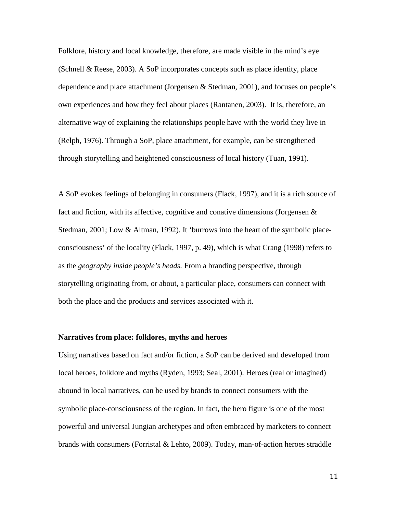Folklore, history and local knowledge, therefore, are made visible in the mind's eye [\(Schnell & Reese, 2003\)](#page-35-4). A SoP incorporates concepts such as place identity, place dependence and place attachment [\(Jorgensen & Stedman, 2001\)](#page-33-1), and focuses on people's own experiences and how they feel about places [\(Rantanen, 2003\)](#page-34-12). It is, therefore, an alternative way of explaining the relationships people have with the world they live in [\(Relph, 1976\)](#page-34-13). Through a SoP, place attachment, for example, can be strengthened through storytelling and heightened consciousness of local history [\(Tuan, 1991\)](#page-35-6).

A SoP evokes feelings of belonging in consumers [\(Flack, 1997\)](#page-33-9), and it is a rich source of fact and fiction, with its affective, cognitive and conative dimensions (Jorgensen  $\&$ [Stedman, 2001;](#page-33-1) [Low & Altman, 1992\)](#page-34-1). It 'burrows into the heart of the symbolic placeconsciousness' of the locality [\(Flack, 1997, p. 49\)](#page-33-9), which is what Crang [\(1998\)](#page-32-12) refers to as the *geography inside people's heads.* From a branding perspective, through storytelling originating from, or about, a particular place, consumers can connect with both the place and the products and services associated with it.

# **Narratives from place: folklores, myths and heroes**

Using narratives based on fact and/or fiction, a SoP can be derived and developed from local heroes, folklore and myths [\(Ryden, 1993;](#page-35-5) [Seal, 2001\)](#page-35-7). Heroes (real or imagined) abound in local narratives, can be used by brands to connect consumers with the symbolic place-consciousness of the region. In fact, the hero figure is one of the most powerful and universal Jungian archetypes and often embraced by marketers to connect brands with consumers [\(Forristal & Lehto, 2009\)](#page-33-10). Today, man-of-action heroes straddle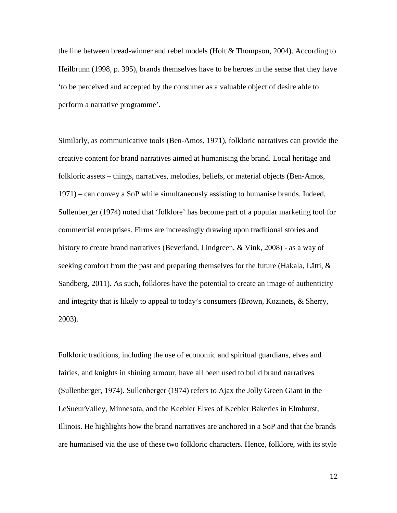the line between bread-winner and rebel models [\(Holt & Thompson, 2004\)](#page-33-11). According to Heilbrunn [\(1998, p. 395\)](#page-33-12), brands themselves have to be heroes in the sense that they have 'to be perceived and accepted by the consumer as a valuable object of desire able to perform a narrative programme'.

Similarly, as communicative tools [\(Ben-Amos, 1971\)](#page-32-13), folkloric narratives can provide the creative content for brand narratives aimed at humanising the brand. Local heritage and folkloric assets – things, narratives, melodies, beliefs, or material objects [\(Ben-Amos,](#page-32-13)  [1971\)](#page-32-13) – can convey a SoP while simultaneously assisting to humanise brands. Indeed, Sullenberger (1974) noted that 'folklore' has become part of a popular marketing tool for commercial enterprises. Firms are increasingly drawing upon traditional stories and history to create brand narratives [\(Beverland, Lindgreen, & Vink, 2008\)](#page-32-14) - as a way of seeking comfort from the past and preparing themselves for the future [\(Hakala, Lätti, &](#page-33-13)  [Sandberg, 2011\)](#page-33-13). As such, folklores have the potential to create an image of authenticity and integrity that is likely to appeal to today's consumers [\(Brown, Kozinets, & Sherry,](#page-32-15)  [2003\)](#page-32-15).

Folkloric traditions, including the use of economic and spiritual guardians, elves and fairies, and knights in shining armour, have all been used to build brand narratives [\(Sullenberger, 1974\)](#page-35-1). Sullenberger (1974) refers to Ajax the Jolly Green Giant in the LeSueurValley, Minnesota, and the Keebler Elves of Keebler Bakeries in Elmhurst, Illinois. He highlights how the brand narratives are anchored in a SoP and that the brands are humanised via the use of these two folkloric characters. Hence, folklore, with its style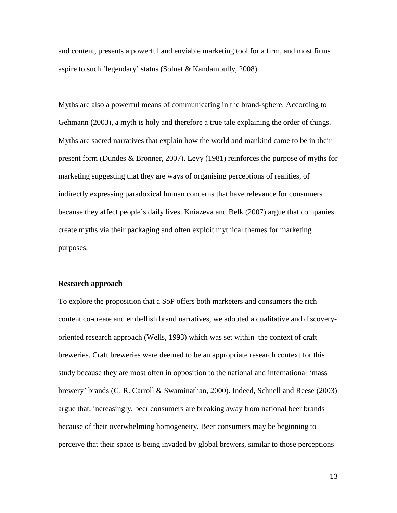and content, presents a powerful and enviable marketing tool for a firm, and most firms aspire to such 'legendary' status [\(Solnet & Kandampully, 2008\)](#page-35-8).

Myths are also a powerful means of communicating in the brand-sphere. According to Gehmann [\(2003\)](#page-33-14), a myth is holy and therefore a true tale explaining the order of things. Myths are sacred narratives that explain how the world and mankind came to be in their present form [\(Dundes & Bronner, 2007\)](#page-32-16). Levy [\(1981\)](#page-34-14) reinforces the purpose of myths for marketing suggesting that they are ways of organising perceptions of realities, of indirectly expressing paradoxical human concerns that have relevance for consumers because they affect people's daily lives. Kniazeva and Belk [\(2007\)](#page-34-15) argue that companies create myths via their packaging and often exploit mythical themes for marketing purposes.

#### **Research approach**

To explore the proposition that a SoP offers both marketers and consumers the rich content co-create and embellish brand narratives, we adopted a qualitative and discoveryoriented research approach [\(Wells, 1993\)](#page-35-9) which was set within the context of craft breweries. Craft breweries were deemed to be an appropriate research context for this study because they are most often in opposition to the national and international 'mass brewery' brands [\(G. R. Carroll & Swaminathan, 2000\)](#page-32-17). Indeed, Schnell and Reese [\(2003\)](#page-35-4) argue that, increasingly, beer consumers are breaking away from national beer brands because of their overwhelming homogeneity. Beer consumers may be beginning to perceive that their space is being invaded by global brewers, similar to those perceptions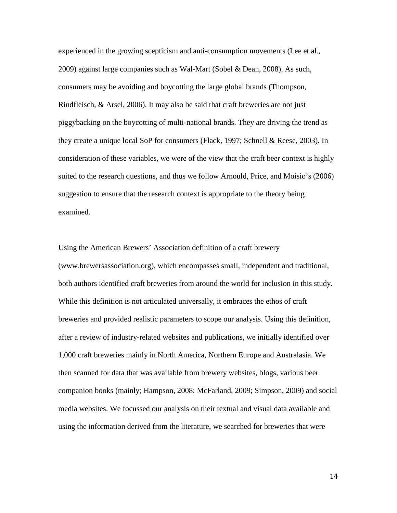experienced in the growing scepticism and anti-consumption movements [\(Lee et al.,](#page-34-7)  [2009\)](#page-34-7) against large companies such as Wal-Mart [\(Sobel & Dean, 2008\)](#page-35-10). As such, consumers may be avoiding and boycotting the large global brands [\(Thompson,](#page-35-11)  [Rindfleisch, & Arsel, 2006\)](#page-35-11). It may also be said that craft breweries are not just piggybacking on the boycotting of multi-national brands. They are driving the trend as they create a unique local SoP for consumers [\(Flack, 1997;](#page-33-9) [Schnell & Reese, 2003\)](#page-35-4). In consideration of these variables, we were of the view that the craft beer context is highly suited to the research questions, and thus we follow Arnould, Price, and Moisio's [\(2006\)](#page-32-18) suggestion to ensure that the research context is appropriate to the theory being examined.

Using the American Brewers' Association definition of a craft brewery (www.brewersassociation.org), which encompasses small, independent and traditional, both authors identified craft breweries from around the world for inclusion in this study. While this definition is not articulated universally, it embraces the ethos of craft breweries and provided realistic parameters to scope our analysis. Using this definition, after a review of industry-related websites and publications, we initially identified over 1,000 craft breweries mainly in North America, Northern Europe and Australasia. We then scanned for data that was available from brewery websites, blogs, various beer companion books (mainly; [Hampson, 2008;](#page-33-15) [McFarland, 2009;](#page-34-16) [Simpson, 2009\)](#page-35-12) and social media websites. We focussed our analysis on their textual and visual data available and using the information derived from the literature, we searched for breweries that were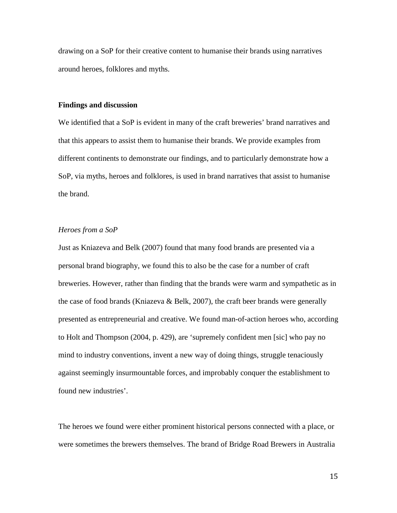drawing on a SoP for their creative content to humanise their brands using narratives around heroes, folklores and myths.

#### **Findings and discussion**

We identified that a SoP is evident in many of the craft breweries' brand narratives and that this appears to assist them to humanise their brands. We provide examples from different continents to demonstrate our findings, and to particularly demonstrate how a SoP, via myths, heroes and folklores, is used in brand narratives that assist to humanise the brand.

# *Heroes from a SoP*

Just as Kniazeva and Belk (2007) found that many food brands are presented via a personal brand biography, we found this to also be the case for a number of craft breweries. However, rather than finding that the brands were warm and sympathetic as in the case of food brands (Kniazeva & Belk, 2007), the craft beer brands were generally presented as entrepreneurial and creative. We found man-of-action heroes who, according to Holt and Thompson [\(2004, p. 429\)](#page-33-11), are 'supremely confident men [sic] who pay no mind to industry conventions, invent a new way of doing things, struggle tenaciously against seemingly insurmountable forces, and improbably conquer the establishment to found new industries'.

The heroes we found were either prominent historical persons connected with a place, or were sometimes the brewers themselves. The brand of Bridge Road Brewers in Australia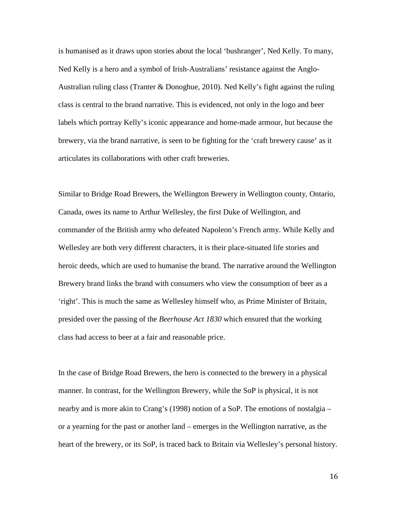is humanised as it draws upon stories about the local 'bushranger', Ned Kelly. To many, Ned Kelly is a hero and a symbol of Irish-Australians' resistance against the Anglo-Australian ruling class [\(Tranter & Donoghue, 2010\)](#page-35-13). Ned Kelly's fight against the ruling class is central to the brand narrative. This is evidenced, not only in the logo and beer labels which portray Kelly's iconic appearance and home-made armour, but because the brewery, via the brand narrative, is seen to be fighting for the 'craft brewery cause' as it articulates its collaborations with other craft breweries.

Similar to Bridge Road Brewers, the Wellington Brewery in Wellington county, Ontario, Canada, owes its name to Arthur Wellesley, the first Duke of Wellington, and commander of the British army who defeated Napoleon's French army. While Kelly and Wellesley are both very different characters, it is their place-situated life stories and heroic deeds, which are used to humanise the brand. The narrative around the Wellington Brewery brand links the brand with consumers who view the consumption of beer as a 'right'. This is much the same as Wellesley himself who, as Prime Minister of Britain, presided over the passing of the *Beerhouse Act 1830* which ensured that the working class had access to beer at a fair and reasonable price.

In the case of Bridge Road Brewers, the hero is connected to the brewery in a physical manner. In contrast, for the Wellington Brewery, while the SoP is physical, it is not nearby and is more akin to Crang's (1998) notion of a SoP. The emotions of nostalgia – or a yearning for the past or another land – emerges in the Wellington narrative, as the heart of the brewery, or its SoP, is traced back to Britain via Wellesley's personal history.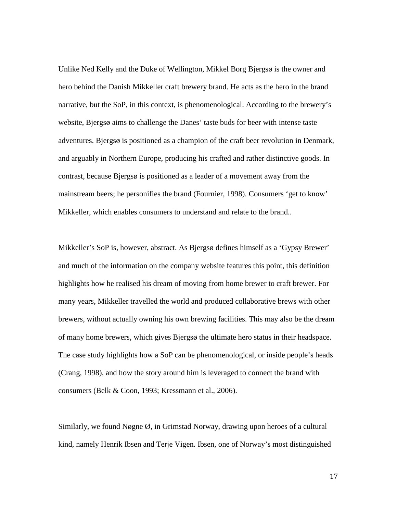Unlike Ned Kelly and the Duke of Wellington, Mikkel Borg Bjergsø is the owner and hero behind the Danish Mikkeller craft brewery brand. He acts as the hero in the brand narrative, but the SoP, in this context, is phenomenological. According to the brewery's website, Bjergsø aims to challenge the Danes' taste buds for beer with intense taste adventures. Bjergsø is positioned as a champion of the craft beer revolution in Denmark, and arguably in Northern Europe, producing his crafted and rather distinctive goods. In contrast, because Bjergsø is positioned as a leader of a movement away from the mainstream beers; he personifies the brand (Fournier, 1998). Consumers 'get to know' Mikkeller, which enables consumers to understand and relate to the brand..

Mikkeller's SoP is, however, abstract. As Bjergsø defines himself as a 'Gypsy Brewer' and much of the information on the company website features this point, this definition highlights how he realised his dream of moving from home brewer to craft brewer. For many years, Mikkeller travelled the world and produced collaborative brews with other brewers, without actually owning his own brewing facilities. This may also be the dream of many home brewers, which gives Bjergsø the ultimate hero status in their headspace. The case study highlights how a SoP can be phenomenological, or inside people's heads (Crang, 1998), and how the story around him is leveraged to connect the brand with consumers [\(Belk & Coon, 1993;](#page-32-11) [Kressmann et al., 2006\)](#page-34-11).

Similarly, we found Nøgne Ø, in Grimstad Norway, drawing upon heroes of a cultural kind, namely Henrik Ibsen and Terje Vigen*.* Ibsen, one of Norway's most distinguished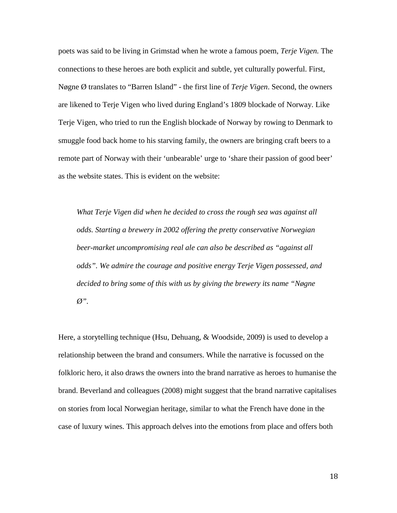poets was said to be living in Grimstad when he wrote a famous poem, *Terje Vigen.* The connections to these heroes are both explicit and subtle, yet culturally powerful. First, Nøgne Ø translates to "Barren Island" - the first line of *Terje Vigen*. Second, the owners are likened to Terje Vigen who lived during England's 1809 blockade of Norway. Like Terje Vigen, who tried to run the English blockade of Norway by rowing to Denmark to smuggle food back home to his starving family, the owners are bringing craft beers to a remote part of Norway with their 'unbearable' urge to 'share their passion of good beer' as the website states. This is evident on the website:

*What Terje Vigen did when he decided to cross the rough sea was against all odds. Starting a brewery in 2002 offering the pretty conservative Norwegian beer-market uncompromising real ale can also be described as "against all odds". We admire the courage and positive energy Terje Vigen possessed, and decided to bring some of this with us by giving the brewery its name "Nøgne Ø".* 

Here, a storytelling technique [\(Hsu, Dehuang, & Woodside, 2009\)](#page-33-16) is used to develop a relationship between the brand and consumers. While the narrative is focussed on the folkloric hero, it also draws the owners into the brand narrative as heroes to humanise the brand. Beverland and colleagues (2008) might suggest that the brand narrative capitalises on stories from local Norwegian heritage, similar to what the French have done in the case of luxury wines. This approach delves into the emotions from place and offers both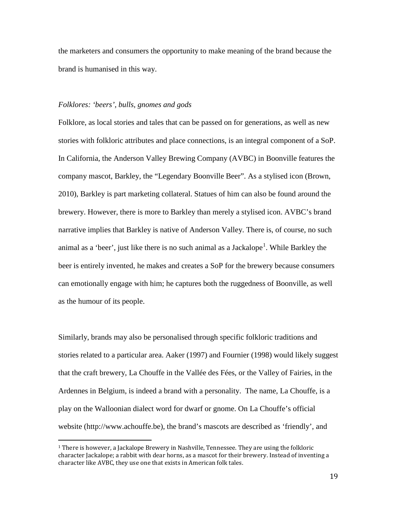the marketers and consumers the opportunity to make meaning of the brand because the brand is humanised in this way.

# *Folklores: 'beers', bulls, gnomes and gods*

Folklore, as local stories and tales that can be passed on for generations, as well as new stories with folkloric attributes and place connections, is an integral component of a SoP. In California, the Anderson Valley Brewing Company (AVBC) in Boonville features the company mascot, Barkley, the "Legendary Boonville Beer". As a stylised icon [\(Brown,](#page-32-8)  [2010\)](#page-32-8), Barkley is part marketing collateral. Statues of him can also be found around the brewery. However, there is more to Barkley than merely a stylised icon. AVBC's brand narrative implies that Barkley is native of Anderson Valley. There is, of course, no such animal as a 'beer', just like there is no such animal as a Jackalope<sup>[1](#page-1-0)</sup>. While Barkley the beer is entirely invented, he makes and creates a SoP for the brewery because consumers can emotionally engage with him; he captures both the ruggedness of Boonville, as well as the humour of its people.

Similarly, brands may also be personalised through specific folkloric traditions and stories related to a particular area. Aaker (1997) and Fournier (1998) would likely suggest that the craft brewery, La Chouffe in the Vallée des Fées, or the Valley of Fairies, in the Ardennes in Belgium, is indeed a brand with a personality. The name, La Chouffe, is a play on the Walloonian dialect word for dwarf or gnome. On La Chouffe's official website (http://www.achouffe.be), the brand's mascots are described as 'friendly', and

 $1$  There is however, a Jackalope Brewery in Nashville, Tennessee. They are using the folkloric character Jackalope; a rabbit with dear horns, as a mascot for their brewery. Instead of inventing a character like AVBC, they use one that exists in American folk tales.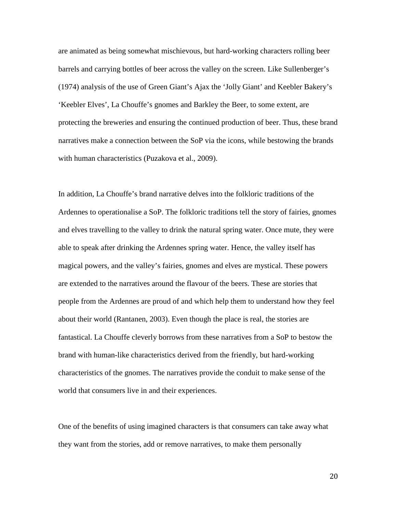are animated as being somewhat mischievous, but hard-working characters rolling beer barrels and carrying bottles of beer across the valley on the screen. Like Sullenberger's (1974) analysis of the use of Green Giant's Ajax the 'Jolly Giant' and Keebler Bakery's 'Keebler Elves', La Chouffe's gnomes and Barkley the Beer, to some extent, are protecting the breweries and ensuring the continued production of beer. Thus, these brand narratives make a connection between the SoP via the icons, while bestowing the brands with human characteristics [\(Puzakova et al., 2009\)](#page-34-9).

In addition, La Chouffe's brand narrative delves into the folkloric traditions of the Ardennes to operationalise a SoP. The folkloric traditions tell the story of fairies, gnomes and elves travelling to the valley to drink the natural spring water. Once mute, they were able to speak after drinking the Ardennes spring water. Hence, the valley itself has magical powers, and the valley's fairies, gnomes and elves are mystical. These powers are extended to the narratives around the flavour of the beers. These are stories that people from the Ardennes are proud of and which help them to understand how they feel about their world (Rantanen, 2003). Even though the place is real, the stories are fantastical. La Chouffe cleverly borrows from these narratives from a SoP to bestow the brand with human-like characteristics derived from the friendly, but hard-working characteristics of the gnomes. The narratives provide the conduit to make sense of the world that consumers live in and their experiences.

One of the benefits of using imagined characters is that consumers can take away what they want from the stories, add or remove narratives, to make them personally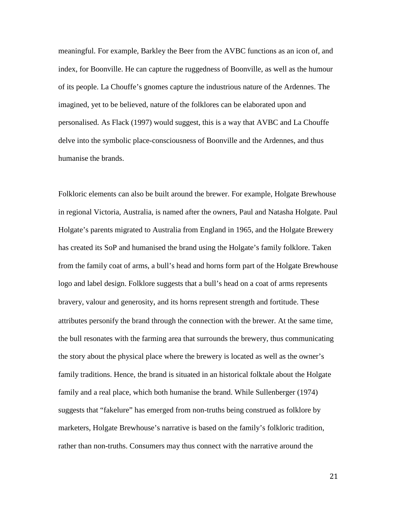meaningful. For example, Barkley the Beer from the AVBC functions as an icon of, and index, for Boonville. He can capture the ruggedness of Boonville, as well as the humour of its people. La Chouffe's gnomes capture the industrious nature of the Ardennes. The imagined, yet to be believed, nature of the folklores can be elaborated upon and personalised. As Flack (1997) would suggest, this is a way that AVBC and La Chouffe delve into the symbolic place-consciousness of Boonville and the Ardennes, and thus humanise the brands.

Folkloric elements can also be built around the brewer. For example, Holgate Brewhouse in regional Victoria, Australia, is named after the owners, Paul and Natasha Holgate. Paul Holgate's parents migrated to Australia from England in 1965, and the Holgate Brewery has created its SoP and humanised the brand using the Holgate's family folklore. Taken from the family coat of arms, a bull's head and horns form part of the Holgate Brewhouse logo and label design. Folklore suggests that a bull's head on a coat of arms represents bravery, valour and generosity, and its horns represent strength and fortitude. These attributes personify the brand through the connection with the brewer. At the same time, the bull resonates with the farming area that surrounds the brewery, thus communicating the story about the physical place where the brewery is located as well as the owner's family traditions. Hence, the brand is situated in an historical folktale about the Holgate family and a real place, which both humanise the brand. While Sullenberger (1974) suggests that "fakelure" has emerged from non-truths being construed as folklore by marketers, Holgate Brewhouse's narrative is based on the family's folkloric tradition, rather than non-truths. Consumers may thus connect with the narrative around the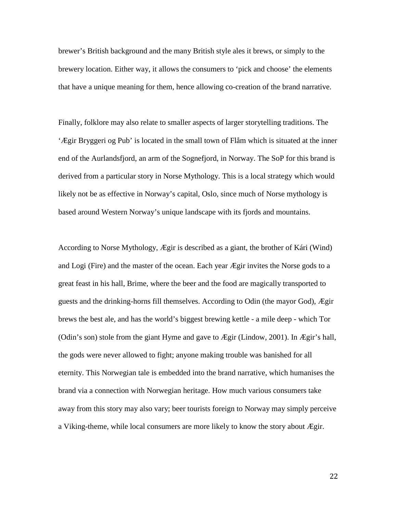brewer's British background and the many British style ales it brews, or simply to the brewery location. Either way, it allows the consumers to 'pick and choose' the elements that have a unique meaning for them, hence allowing co-creation of the brand narrative.

Finally, folklore may also relate to smaller aspects of larger storytelling traditions. The 'Ægir Bryggeri og Pub' is located in the small town of Flåm which is situated at the inner end of the Aurlandsfjord, an arm of the Sognefjord, in Norway. The SoP for this brand is derived from a particular story in Norse Mythology. This is a local strategy which would likely not be as effective in Norway's capital, Oslo, since much of Norse mythology is based around Western Norway's unique landscape with its fjords and mountains.

According to Norse Mythology, Ægir is described as a giant, the brother of Kári (Wind) and Logi (Fire) and the master of the ocean. Each year Ægir invites the Norse gods to a great feast in his hall, Brime, where the beer and the food are magically transported to guests and the drinking-horns fill themselves. According to Odin (the mayor God), Ægir brews the best ale, and has the world's biggest brewing kettle - a mile deep - which Tor (Odin's son) stole from the giant Hyme and gave to Ægir [\(Lindow, 2001\)](#page-34-17). In Ægir's hall, the gods were never allowed to fight; anyone making trouble was banished for all eternity. This Norwegian tale is embedded into the brand narrative, which humanises the brand via a connection with Norwegian heritage. How much various consumers take away from this story may also vary; beer tourists foreign to Norway may simply perceive a Viking-theme, while local consumers are more likely to know the story about Ægir.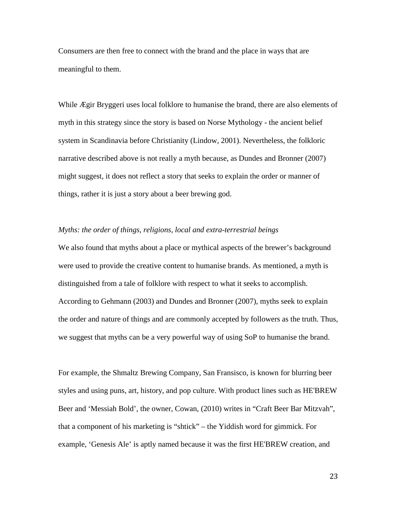Consumers are then free to connect with the brand and the place in ways that are meaningful to them.

While Ægir Bryggeri uses local folklore to humanise the brand, there are also elements of myth in this strategy since the story is based on Norse Mythology - the ancient belief system in Scandinavia before Christianity [\(Lindow, 2001\)](#page-34-17). Nevertheless, the folkloric narrative described above is not really a myth because, as Dundes and Bronner [\(2007\)](#page-32-16) might suggest, it does not reflect a story that seeks to explain the order or manner of things, rather it is just a story about a beer brewing god.

# *Myths: the order of things, religions, local and extra-terrestrial beings*

We also found that myths about a place or mythical aspects of the brewer's background were used to provide the creative content to humanise brands. As mentioned, a myth is distinguished from a tale of folklore with respect to what it seeks to accomplish. According to Gehmann [\(2003\)](#page-33-14) and Dundes and Bronner [\(2007\)](#page-32-16), myths seek to explain the order and nature of things and are commonly accepted by followers as the truth. Thus, we suggest that myths can be a very powerful way of using SoP to humanise the brand.

For example, the Shmaltz Brewing Company, San Fransisco, is known for blurring beer styles and using puns, art, history, and pop culture. With product lines such as HE'BREW Beer and 'Messiah Bold', the owner, Cowan, (2010) writes in "Craft Beer Bar Mitzvah", that a component of his marketing is "shtick" – the Yiddish word for gimmick. For example, 'Genesis Ale' is aptly named because it was the first HE'BREW creation, and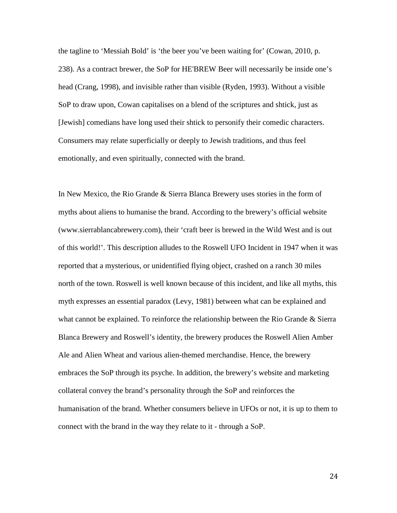the tagline to 'Messiah Bold' is 'the beer you've been waiting for' [\(Cowan, 2010, p.](#page-32-19)  [238\)](#page-32-19). As a contract brewer, the SoP for HE'BREW Beer will necessarily be inside one's head [\(Crang, 1998\)](#page-32-12), and invisible rather than visible [\(Ryden, 1993\)](#page-35-5). Without a visible SoP to draw upon, Cowan capitalises on a blend of the scriptures and shtick, just as [Jewish] comedians have long used their shtick to personify their comedic characters. Consumers may relate superficially or deeply to Jewish traditions, and thus feel emotionally, and even spiritually, connected with the brand.

In New Mexico, the Rio Grande & Sierra Blanca Brewery uses stories in the form of myths about aliens to humanise the brand. According to the brewery's official website (www.sierrablancabrewery.com), their 'craft beer is brewed in the Wild West and is out of this world!'. This description alludes to the Roswell UFO Incident in 1947 when it was reported that a mysterious, or unidentified flying object, crashed on a ranch 30 miles north of the town. Roswell is well known because of this incident, and like all myths, this myth expresses an essential paradox (Levy, 1981) between what can be explained and what cannot be explained. To reinforce the relationship between the Rio Grande & Sierra Blanca Brewery and Roswell's identity, the brewery produces the Roswell Alien Amber Ale and Alien Wheat and various alien-themed merchandise. Hence, the brewery embraces the SoP through its psyche. In addition, the brewery's website and marketing collateral convey the brand's personality through the SoP and reinforces the humanisation of the brand. Whether consumers believe in UFOs or not, it is up to them to connect with the brand in the way they relate to it - through a SoP.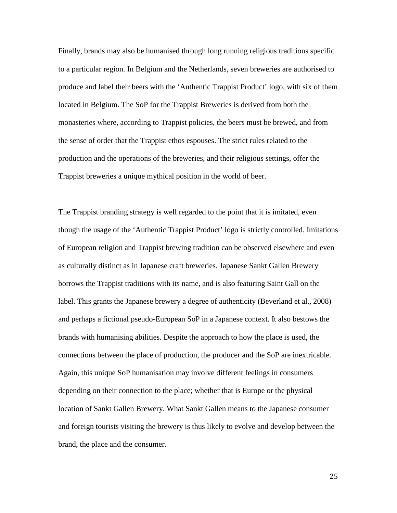Finally, brands may also be humanised through long running religious traditions specific to a particular region. In Belgium and the Netherlands, seven breweries are authorised to produce and label their beers with the 'Authentic Trappist Product' logo, with six of them located in Belgium. The SoP for the Trappist Breweries is derived from both the monasteries where, according to Trappist policies, the beers must be brewed, and from the sense of order that the Trappist ethos espouses. The strict rules related to the production and the operations of the breweries, and their religious settings, offer the Trappist breweries a unique mythical position in the world of beer.

The Trappist branding strategy is well regarded to the point that it is imitated, even though the usage of the 'Authentic Trappist Product' logo is strictly controlled. Imitations of European religion and Trappist brewing tradition can be observed elsewhere and even as culturally distinct as in Japanese craft breweries. Japanese Sankt Gallen Brewery borrows the Trappist traditions with its name, and is also featuring Saint Gall on the label. This grants the Japanese brewery a degree of authenticity [\(Beverland et al., 2008\)](#page-32-14) and perhaps a fictional pseudo-European SoP in a Japanese context. It also bestows the brands with humanising abilities. Despite the approach to how the place is used, the connections between the place of production, the producer and the SoP are inextricable. Again, this unique SoP humanisation may involve different feelings in consumers depending on their connection to the place; whether that is Europe or the physical location of Sankt Gallen Brewery. What Sankt Gallen means to the Japanese consumer and foreign tourists visiting the brewery is thus likely to evolve and develop between the brand, the place and the consumer.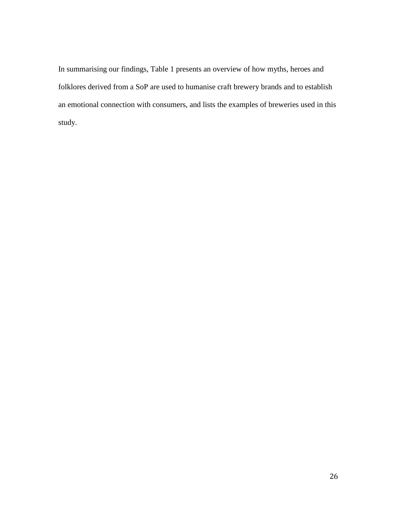In summarising our findings, Table 1 presents an overview of how myths, heroes and folklores derived from a SoP are used to humanise craft brewery brands and to establish an emotional connection with consumers, and lists the examples of breweries used in this study.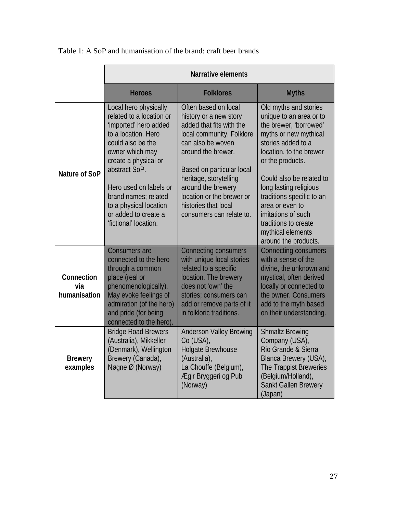|                                   | Narrative elements                                                                                                                                                                                                                                                                                              |                                                                                                                                                                                                                                                                                                                  |                                                                                                                                                                                                                                                                                                                                                                           |
|-----------------------------------|-----------------------------------------------------------------------------------------------------------------------------------------------------------------------------------------------------------------------------------------------------------------------------------------------------------------|------------------------------------------------------------------------------------------------------------------------------------------------------------------------------------------------------------------------------------------------------------------------------------------------------------------|---------------------------------------------------------------------------------------------------------------------------------------------------------------------------------------------------------------------------------------------------------------------------------------------------------------------------------------------------------------------------|
|                                   | <b>Heroes</b>                                                                                                                                                                                                                                                                                                   | <b>Folklores</b>                                                                                                                                                                                                                                                                                                 | <b>Myths</b>                                                                                                                                                                                                                                                                                                                                                              |
| Nature of SoP                     | Local hero physically<br>related to a location or<br>'imported' hero added<br>to a location. Hero<br>could also be the<br>owner which may<br>create a physical or<br>abstract SoP.<br>Hero used on labels or<br>brand names; related<br>to a physical location<br>or added to create a<br>'fictional' location. | Often based on local<br>history or a new story<br>added that fits with the<br>local community. Folklore<br>can also be woven<br>around the brewer.<br>Based on particular local<br>heritage, storytelling<br>around the brewery<br>location or the brewer or<br>histories that local<br>consumers can relate to. | Old myths and stories<br>unique to an area or to<br>the brewer, 'borrowed'<br>myths or new mythical<br>stories added to a<br>location, to the brewer<br>or the products.<br>Could also be related to<br>long lasting religious<br>traditions specific to an<br>area or even to<br>imitations of such<br>traditions to create<br>mythical elements<br>around the products. |
| Connection<br>via<br>humanisation | <b>Consumers are</b><br>connected to the hero<br>through a common<br>place (real or<br>phenomenologically).<br>May evoke feelings of<br>admiration (of the hero)<br>and pride (for being<br>connected to the hero).                                                                                             | <b>Connecting consumers</b><br>with unique local stories<br>related to a specific<br>location. The brewery<br>does not 'own' the<br>stories; consumers can<br>add or remove parts of it<br>in folkloric traditions.                                                                                              | <b>Connecting consumers</b><br>with a sense of the<br>divine, the unknown and<br>mystical, often derived<br>locally or connected to<br>the owner. Consumers<br>add to the myth based<br>on their understanding.                                                                                                                                                           |
| <b>Brewery</b><br>examples        | <b>Bridge Road Brewers</b><br>(Australia), Mikkeller<br>(Denmark), Wellington<br>Brewery (Canada),<br>Nøgne Ø (Norway)                                                                                                                                                                                          | <b>Anderson Valley Brewing</b><br>Co (USA),<br><b>Holgate Brewhouse</b><br>(Australia),<br>La Chouffe (Belgium),<br>Ægir Bryggeri og Pub<br>(Norway)                                                                                                                                                             | <b>Shmaltz Brewing</b><br>Company (USA),<br>Rio Grande & Sierra<br>Blanca Brewery (USA),<br>The Trappist Breweries<br>(Belgium/Holland),<br>Sankt Gallen Brewery<br>(Japan)                                                                                                                                                                                               |

Table 1: A SoP and humanisation of the brand: craft beer brands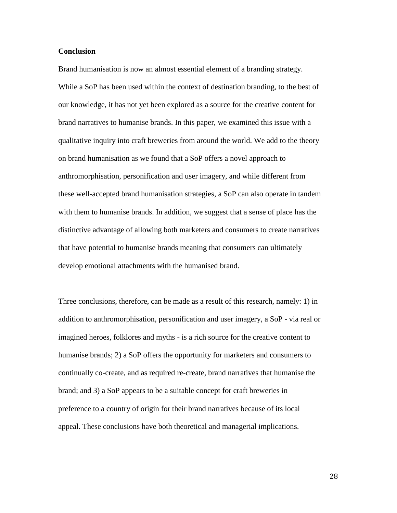#### **Conclusion**

Brand humanisation is now an almost essential element of a branding strategy. While a SoP has been used within the context of destination branding, to the best of our knowledge, it has not yet been explored as a source for the creative content for brand narratives to humanise brands. In this paper, we examined this issue with a qualitative inquiry into craft breweries from around the world. We add to the theory on brand humanisation as we found that a SoP offers a novel approach to anthromorphisation, personification and user imagery, and while different from these well-accepted brand humanisation strategies, a SoP can also operate in tandem with them to humanise brands. In addition, we suggest that a sense of place has the distinctive advantage of allowing both marketers and consumers to create narratives that have potential to humanise brands meaning that consumers can ultimately develop emotional attachments with the humanised brand.

Three conclusions, therefore, can be made as a result of this research, namely: 1) in addition to anthromorphisation, personification and user imagery, a SoP - via real or imagined heroes, folklores and myths - is a rich source for the creative content to humanise brands; 2) a SoP offers the opportunity for marketers and consumers to continually co-create, and as required re-create, brand narratives that humanise the brand; and 3) a SoP appears to be a suitable concept for craft breweries in preference to a country of origin for their brand narratives because of its local appeal. These conclusions have both theoretical and managerial implications.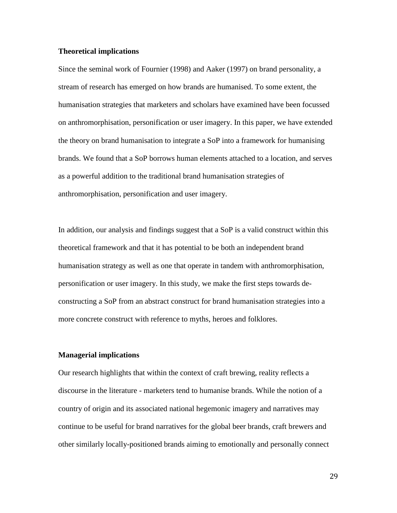# **Theoretical implications**

Since the seminal work of Fournier (1998) and Aaker (1997) on brand personality, a stream of research has emerged on how brands are humanised. To some extent, the humanisation strategies that marketers and scholars have examined have been focussed on anthromorphisation, personification or user imagery. In this paper, we have extended the theory on brand humanisation to integrate a SoP into a framework for humanising brands. We found that a SoP borrows human elements attached to a location, and serves as a powerful addition to the traditional brand humanisation strategies of anthromorphisation, personification and user imagery.

In addition, our analysis and findings suggest that a SoP is a valid construct within this theoretical framework and that it has potential to be both an independent brand humanisation strategy as well as one that operate in tandem with anthromorphisation, personification or user imagery. In this study, we make the first steps towards deconstructing a SoP from an abstract construct for brand humanisation strategies into a more concrete construct with reference to myths, heroes and folklores.

#### **Managerial implications**

Our research highlights that within the context of craft brewing, reality reflects a discourse in the literature - marketers tend to humanise brands. While the notion of a country of origin and its associated national hegemonic imagery and narratives may continue to be useful for brand narratives for the global beer brands, craft brewers and other similarly locally-positioned brands aiming to emotionally and personally connect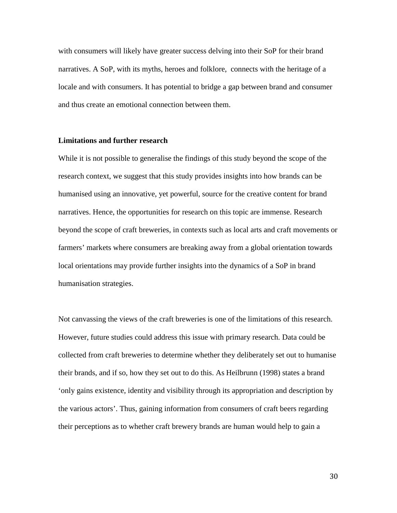with consumers will likely have greater success delving into their SoP for their brand narratives. A SoP, with its myths, heroes and folklore, connects with the heritage of a locale and with consumers. It has potential to bridge a gap between brand and consumer and thus create an emotional connection between them.

#### **Limitations and further research**

While it is not possible to generalise the findings of this study beyond the scope of the research context, we suggest that this study provides insights into how brands can be humanised using an innovative, yet powerful, source for the creative content for brand narratives. Hence, the opportunities for research on this topic are immense. Research beyond the scope of craft breweries, in contexts such as local arts and craft movements or farmers' markets where consumers are breaking away from a global orientation towards local orientations may provide further insights into the dynamics of a SoP in brand humanisation strategies.

Not canvassing the views of the craft breweries is one of the limitations of this research. However, future studies could address this issue with primary research. Data could be collected from craft breweries to determine whether they deliberately set out to humanise their brands, and if so, how they set out to do this. As Heilbrunn [\(1998\)](#page-33-12) states a brand 'only gains existence, identity and visibility through its appropriation and description by the various actors'. Thus, gaining information from consumers of craft beers regarding their perceptions as to whether craft brewery brands are human would help to gain a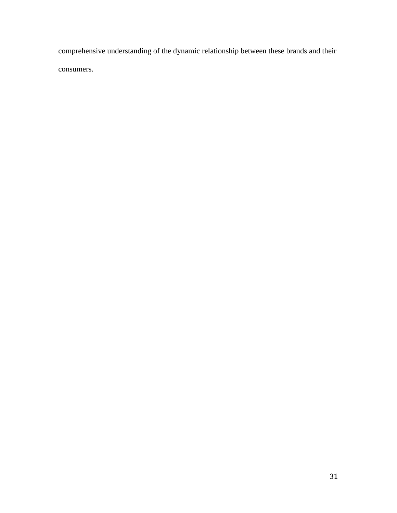comprehensive understanding of the dynamic relationship between these brands and their consumers.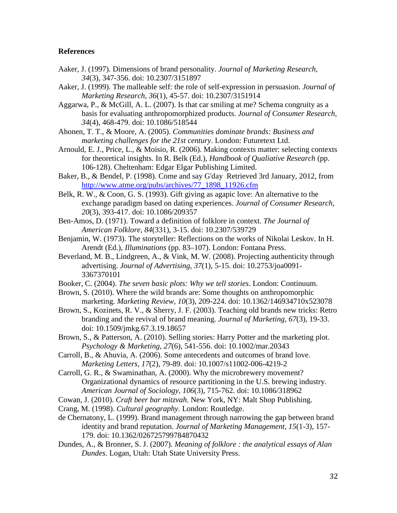# **References**

- <span id="page-32-5"></span>Aaker, J. (1997). Dimensions of brand personality. *Journal of Marketing Research, 34*(3), 347-356. doi: 10.2307/3151897
- <span id="page-32-0"></span>Aaker, J. (1999). The malleable self: the role of self-expression in persuasion. *Journal of Marketing Research, 36*(1), 45-57. doi: 10.2307/3151914
- <span id="page-32-9"></span>Aggarwa, P., & McGill, A. L. (2007). Is that car smiling at me? Schema congruity as a basis for evaluating anthropomorphized products. *Journal of Consumer Research, 34*(4), 468-479. doi: 10.1086/518544
- <span id="page-32-1"></span>Ahonen, T. T., & Moore, A. (2005). *Communities dominate brands: Business and marketing challenges for the 21st century*. London: Futuretext Ltd.
- <span id="page-32-18"></span>Arnould, E. J., Price, L., & Moisio, R. (2006). Making contexts matter: selecting contexts for theoretical insights. In R. Belk (Ed.), *Handbook of Qualiative Research* (pp. 106-128). Cheltenham: Edgar Elgar Publishing Limited.
- <span id="page-32-10"></span>Baker, B., & Bendel, P. (1998). Come and say G'day Retrieved 3rd January, 2012, from [http://www.atme.org/pubs/archives/77\\_1898\\_11926.cfm](http://www.atme.org/pubs/archives/77_1898_11926.cfm)
- <span id="page-32-11"></span>Belk, R. W., & Coon, G. S. (1993). Gift giving as agapic love: An alternative to the exchange paradigm based on dating experiences. *Journal of Consumer Research, 20*(3), 393-417. doi: 10.1086/209357
- <span id="page-32-13"></span>Ben-Amos, D. (1971). Toward a definition of folklore in context. *The Journal of American Folklore, 84*(331), 3-15. doi: 10.2307/539729
- <span id="page-32-2"></span>Benjamin, W. (1973). The storyteller: Reflections on the works of Nikolai Leskov. In H. Arendt (Ed.), *Illuminations* (pp. 83–107). London: Fontana Press.
- <span id="page-32-14"></span>Beverland, M. B., Lindgreen, A., & Vink, M. W. (2008). Projecting authenticity through advertising. *Journal of Advertising, 37*(1), 5-15. doi: 10.2753/joa0091- 3367370101
- <span id="page-32-4"></span>Booker, C. (2004). *The seven basic plots: Why we tell stories*. London: Continuum.
- <span id="page-32-8"></span>Brown, S. (2010). Where the wild brands are: Some thoughts on anthropomorphic marketing. *Marketing Review, 10*(3), 209-224. doi: 10.1362/146934710x523078
- <span id="page-32-15"></span>Brown, S., Kozinets, R. V., & Sherry, J. F. (2003). Teaching old brands new tricks: Retro branding and the revival of brand meaning. *Journal of Marketing, 67*(3), 19-33. doi: 10.1509/jmkg.67.3.19.18657
- <span id="page-32-3"></span>Brown, S., & Patterson, A. (2010). Selling stories: Harry Potter and the marketing plot. *Psychology & Marketing, 27*(6), 541-556. doi: 10.1002/mar.20343
- <span id="page-32-7"></span>Carroll, B., & Ahuvia, A. (2006). Some antecedents and outcomes of brand love. *Marketing Letters, 17*(2), 79-89. doi: 10.1007/s11002-006-4219-2
- <span id="page-32-17"></span>Carroll, G. R., & Swaminathan, A. (2000). Why the microbrewery movement? Organizational dynamics of resource partitioning in the U.S. brewing industry. *American Journal of Sociology, 106*(3), 715-762. doi: 10.1086/318962
- <span id="page-32-19"></span>Cowan, J. (2010). *Craft beer bar mitzvah*. New York, NY: Malt Shop Publishing.
- <span id="page-32-12"></span>Crang, M. (1998). *Cultural geography*. London: Routledge.
- <span id="page-32-6"></span>de Chernatony, L. (1999). Brand management through narrowing the gap between brand identity and brand reputation. *Journal of Marketing Management, 15*(1-3), 157- 179. doi: 10.1362/026725799784870432
- <span id="page-32-16"></span>Dundes, A., & Bronner, S. J. (2007). *Meaning of folklore : the analytical essays of Alan Dundes*. Logan, Utah: Utah State University Press.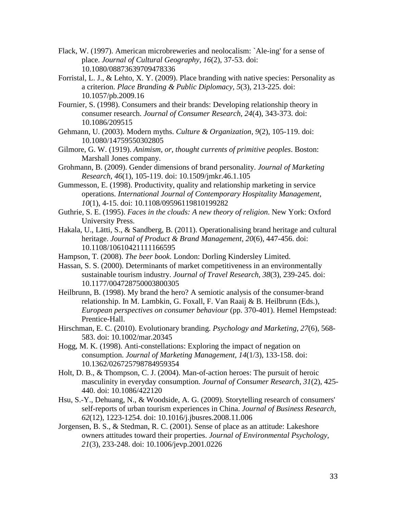- <span id="page-33-9"></span>Flack, W. (1997). American microbreweries and neolocalism: `Ale-ing' for a sense of place. *Journal of Cultural Geography, 16*(2), 37-53. doi: 10.1080/08873639709478336
- <span id="page-33-10"></span>Forristal, L. J., & Lehto, X. Y. (2009). Place branding with native species: Personality as a criterion. *Place Branding & Public Diplomacy, 5*(3), 213-225. doi: 10.1057/pb.2009.16
- <span id="page-33-0"></span>Fournier, S. (1998). Consumers and their brands: Developing relationship theory in consumer research. *Journal of Consumer Research, 24*(4), 343-373. doi: 10.1086/209515
- <span id="page-33-14"></span>Gehmann, U. (2003). Modern myths. *Culture & Organization, 9*(2), 105-119. doi: 10.1080/14759550302805
- <span id="page-33-6"></span>Gilmore, G. W. (1919). *Animism, or, thought currents of primitive peoples*. Boston: Marshall Jones company.
- <span id="page-33-7"></span>Grohmann, B. (2009). Gender dimensions of brand personality. *Journal of Marketing Research, 46*(1), 105-119. doi: 10.1509/jmkr.46.1.105
- <span id="page-33-3"></span>Gummesson, E. (1998). Productivity, quality and relationship marketing in service operations. *International Journal of Contemporary Hospitality Management, 10*(1), 4-15. doi: 10.1108/09596119810199282
- <span id="page-33-5"></span>Guthrie, S. E. (1995). *Faces in the clouds: A new theory of religion*. New York: Oxford University Press.
- <span id="page-33-13"></span>Hakala, U., Lätti, S., & Sandberg, B. (2011). Operationalising brand heritage and cultural heritage. *Journal of Product & Brand Management, 20*(6), 447-456. doi: 10.1108/10610421111166595
- <span id="page-33-15"></span>Hampson, T. (2008). *The beer book*. London: Dorling Kindersley Limited.
- <span id="page-33-8"></span>Hassan, S. S. (2000). Determinants of market competitiveness in an environmentally sustainable tourism industry. *Journal of Travel Research, 38*(3), 239-245. doi: 10.1177/004728750003800305
- <span id="page-33-12"></span>Heilbrunn, B. (1998). My brand the hero? A semiotic analysis of the consumer-brand relationship. In M. Lambkin, G. Foxall, F. Van Raaij & B. Heilbrunn (Eds.), *European perspectives on consumer behaviour* (pp. 370-401). Hemel Hempstead: Prentice-Hall.
- <span id="page-33-2"></span>Hirschman, E. C. (2010). Evolutionary branding. *Psychology and Marketing, 27*(6), 568- 583. doi: 10.1002/mar.20345
- <span id="page-33-4"></span>Hogg, M. K. (1998). Anti-constellations: Exploring the impact of negation on consumption. *Journal of Marketing Management, 14*(1/3), 133-158. doi: 10.1362/026725798784959354
- <span id="page-33-11"></span>Holt, D. B., & Thompson, C. J. (2004). Man-of-action heroes: The pursuit of heroic masculinity in everyday consumption. *Journal of Consumer Research, 31*(2), 425- 440. doi: 10.1086/422120
- <span id="page-33-16"></span>Hsu, S.-Y., Dehuang, N., & Woodside, A. G. (2009). Storytelling research of consumers' self-reports of urban tourism experiences in China. *Journal of Business Research, 62*(12), 1223-1254. doi: 10.1016/j.jbusres.2008.11.006
- <span id="page-33-1"></span>Jorgensen, B. S., & Stedman, R. C. (2001). Sense of place as an attitude: Lakeshore owners attitudes toward their properties. *Journal of Environmental Psychology, 21*(3), 233-248. doi: 10.1006/jevp.2001.0226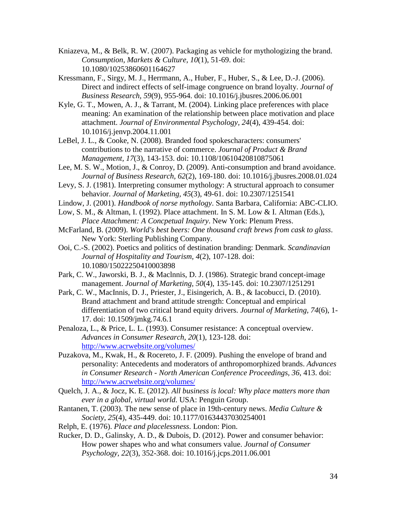- <span id="page-34-15"></span>Kniazeva, M., & Belk, R. W. (2007). Packaging as vehicle for mythologizing the brand. *Consumption, Markets & Culture, 10*(1), 51-69. doi: 10.1080/10253860601164627
- <span id="page-34-11"></span>Kressmann, F., Sirgy, M. J., Herrmann, A., Huber, F., Huber, S., & Lee, D.-J. (2006). Direct and indirect effects of self-image congruence on brand loyalty. *Journal of Business Research, 59*(9), 955-964. doi: 10.1016/j.jbusres.2006.06.001
- <span id="page-34-0"></span>Kyle, G. T., Mowen, A. J., & Tarrant, M. (2004). Linking place preferences with place meaning: An examination of the relationship between place motivation and place attachment. *Journal of Environmental Psychology, 24*(4), 439-454. doi: 10.1016/j.jenvp.2004.11.001
- <span id="page-34-10"></span>LeBel, J. L., & Cooke, N. (2008). Branded food spokescharacters: consumers' contributions to the narrative of commerce. *Journal of Product & Brand Management, 17*(3), 143-153. doi: 10.1108/10610420810875061
- <span id="page-34-7"></span>Lee, M. S. W., Motion, J., & Conroy, D. (2009). Anti-consumption and brand avoidance. *Journal of Business Research, 62*(2), 169-180. doi: 10.1016/j.jbusres.2008.01.024
- <span id="page-34-14"></span>Levy, S. J. (1981). Interpreting consumer mythology: A structural approach to consumer behavior. *Journal of Marketing, 45*(3), 49-61. doi: 10.2307/1251541
- <span id="page-34-17"></span>Lindow, J. (2001). *Handbook of norse mythology*. Santa Barbara, California: ABC-CLIO.
- <span id="page-34-1"></span>Low, S. M., & Altman, I. (1992). Place attachment. In S. M. Low & I. Altman (Eds.), *Place Attachment: A Concpetual Inquiry*. New York: Plenum Press.
- <span id="page-34-16"></span>McFarland, B. (2009). *World's best beers: One thousand craft brews from cask to glass*. New York: Sterling Publishing Company.
- <span id="page-34-2"></span>Ooi, C.-S. (2002). Poetics and politics of destination branding: Denmark. *Scandinavian Journal of Hospitality and Tourism, 4*(2), 107-128. doi: 10.1080/15022250410003898
- <span id="page-34-6"></span>Park, C. W., Jaworski, B. J., & Maclnnis, D. J. (1986). Strategic brand concept-image management. *Journal of Marketing, 50*(4), 135-145. doi: 10.2307/1251291
- <span id="page-34-8"></span>Park, C. W., MacInnis, D. J., Priester, J., Eisingerich, A. B., & Iacobucci, D. (2010). Brand attachment and brand attitude strength: Conceptual and empirical differentiation of two critical brand equity drivers. *Journal of Marketing, 74*(6), 1- 17. doi: 10.1509/jmkg.74.6.1
- <span id="page-34-4"></span>Penaloza, L., & Price, L. L. (1993). Consumer resistance: A conceptual overview. *Advances in Consumer Research, 20*(1), 123-128. doi: <http://www.acrwebsite.org/volumes/>
- <span id="page-34-9"></span>Puzakova, M., Kwak, H., & Rocereto, J. F. (2009). Pushing the envelope of brand and personality: Antecedents and moderators of anthropomorphized brands. *Advances in Consumer Research - North American Conference Proceedings, 36*, 413. doi: <http://www.acrwebsite.org/volumes/>
- <span id="page-34-3"></span>Quelch, J. A., & Jocz, K. E. (2012). *All business is local: Why place matters more than ever in a global, virtual world*. USA: Penguin Group.
- <span id="page-34-12"></span>Rantanen, T. (2003). The new sense of place in 19th-century news. *Media Culture & Society, 25*(4), 435-449. doi: 10.1177/01634437030254001
- <span id="page-34-13"></span>Relph, E. (1976). *Place and placelessness*. London: Pion.
- <span id="page-34-5"></span>Rucker, D. D., Galinsky, A. D., & Dubois, D. (2012). Power and consumer behavior: How power shapes who and what consumers value. *Journal of Consumer Psychology, 22*(3), 352-368. doi: 10.1016/j.jcps.2011.06.001